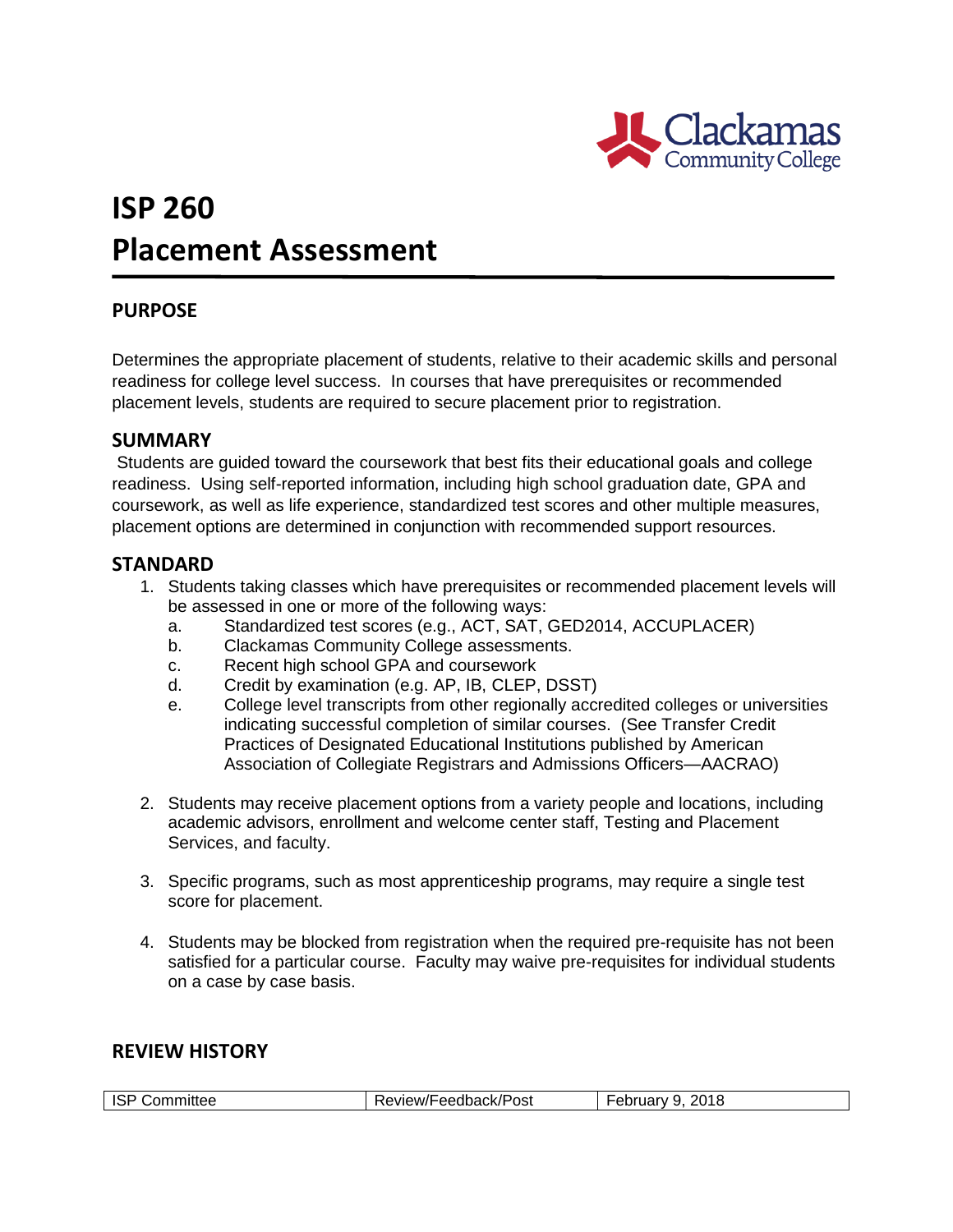

# **ISP 260 Placement Assessment**

## **PURPOSE**

Determines the appropriate placement of students, relative to their academic skills and personal readiness for college level success. In courses that have prerequisites or recommended placement levels, students are required to secure placement prior to registration.

### **SUMMARY**

Students are guided toward the coursework that best fits their educational goals and college readiness. Using self-reported information, including high school graduation date, GPA and coursework, as well as life experience, standardized test scores and other multiple measures, placement options are determined in conjunction with recommended support resources.

### **STANDARD**

- 1. Students taking classes which have prerequisites or recommended placement levels will be assessed in one or more of the following ways:
	- a. Standardized test scores (e.g., ACT, SAT, GED2014, ACCUPLACER)
	- b. Clackamas Community College assessments.
	- c. Recent high school GPA and coursework
	- d. Credit by examination (e.g. AP, IB, CLEP, DSST)
	- e. College level transcripts from other regionally accredited colleges or universities indicating successful completion of similar courses. (See Transfer Credit Practices of Designated Educational Institutions published by American Association of Collegiate Registrars and Admissions Officers—AACRAO)
- 2. Students may receive placement options from a variety people and locations, including academic advisors, enrollment and welcome center staff, Testing and Placement Services, and faculty.
- 3. Specific programs, such as most apprenticeship programs, may require a single test score for placement.
- 4. Students may be blocked from registration when the required pre-requisite has not been satisfied for a particular course. Faculty may waive pre-requisites for individual students on a case by case basis.

#### **REVIEW HISTORY**

| <b>ISP</b><br>Review/Feedback/Post<br>Committee | 2018<br>u<br>ebruary |
|-------------------------------------------------|----------------------|
|-------------------------------------------------|----------------------|